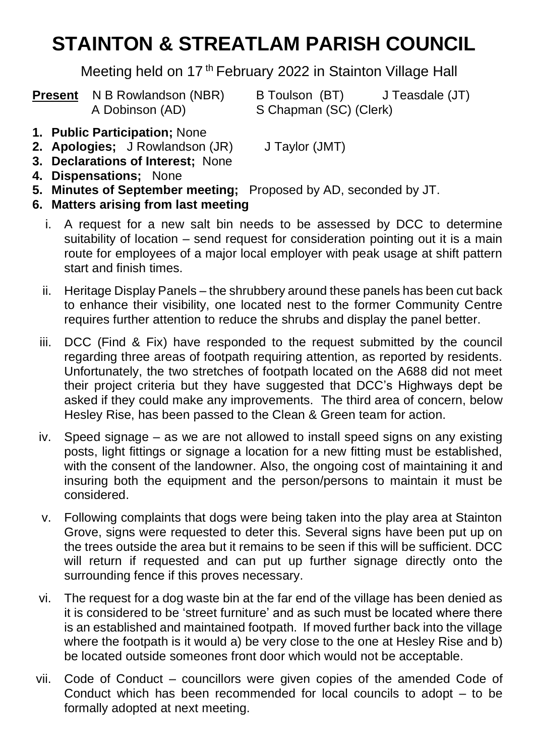# **STAINTON & STREATLAM PARISH COUNCIL**

Meeting held on 17<sup>th</sup> February 2022 in Stainton Village Hall

A Dobinson (AD) S Chapman (SC) (Clerk)

**Present** N B Rowlandson (NBR) B Toulson (BT) J Teasdale (JT)

- **1. Public Participation;** None
- **2. Apologies;** J Rowlandson (JR) J Taylor (JMT)
- **3. Declarations of Interest;** None
- **4. Dispensations;** None
- **5. Minutes of September meeting;** Proposed by AD, seconded by JT.
- **6. Matters arising from last meeting**
	- i. A request for a new salt bin needs to be assessed by DCC to determine suitability of location – send request for consideration pointing out it is a main route for employees of a major local employer with peak usage at shift pattern start and finish times.
	- ii. Heritage Display Panels the shrubbery around these panels has been cut back to enhance their visibility, one located nest to the former Community Centre requires further attention to reduce the shrubs and display the panel better.
	- iii. DCC (Find & Fix) have responded to the request submitted by the council regarding three areas of footpath requiring attention, as reported by residents. Unfortunately, the two stretches of footpath located on the A688 did not meet their project criteria but they have suggested that DCC's Highways dept be asked if they could make any improvements. The third area of concern, below Hesley Rise, has been passed to the Clean & Green team for action.
	- iv. Speed signage as we are not allowed to install speed signs on any existing posts, light fittings or signage a location for a new fitting must be established, with the consent of the landowner. Also, the ongoing cost of maintaining it and insuring both the equipment and the person/persons to maintain it must be considered.
	- v. Following complaints that dogs were being taken into the play area at Stainton Grove, signs were requested to deter this. Several signs have been put up on the trees outside the area but it remains to be seen if this will be sufficient. DCC will return if requested and can put up further signage directly onto the surrounding fence if this proves necessary.
	- vi. The request for a dog waste bin at the far end of the village has been denied as it is considered to be 'street furniture' and as such must be located where there is an established and maintained footpath. If moved further back into the village where the footpath is it would a) be very close to the one at Hesley Rise and b) be located outside someones front door which would not be acceptable.
- vii. Code of Conduct councillors were given copies of the amended Code of Conduct which has been recommended for local councils to adopt – to be formally adopted at next meeting.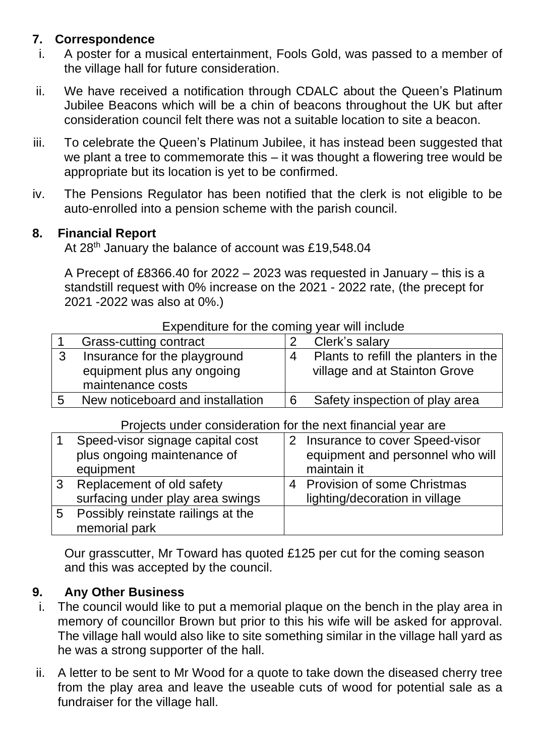# **7. Correspondence**

- i. A poster for a musical entertainment, Fools Gold, was passed to a member of the village hall for future consideration.
- ii. We have received a notification through CDALC about the Queen's Platinum Jubilee Beacons which will be a chin of beacons throughout the UK but after consideration council felt there was not a suitable location to site a beacon.
- iii. To celebrate the Queen's Platinum Jubilee, it has instead been suggested that we plant a tree to commemorate this – it was thought a flowering tree would be appropriate but its location is yet to be confirmed.
- iv. The Pensions Regulator has been notified that the clerk is not eligible to be auto-enrolled into a pension scheme with the parish council.

## **8. Financial Report**

At 28<sup>th</sup> January the balance of account was £19,548.04

A Precept of £8366.40 for 2022 – 2023 was requested in January – this is a standstill request with 0% increase on the 2021 - 2022 rate, (the precept for 2021 -2022 was also at 0%.)

|   | Grass-cutting contract                                                          |          | Clerk's salary                                                        |  |  |
|---|---------------------------------------------------------------------------------|----------|-----------------------------------------------------------------------|--|--|
| າ | Insurance for the playground<br>equipment plus any ongoing<br>maintenance costs | $\Delta$ | Plants to refill the planters in the<br>village and at Stainton Grove |  |  |
|   | New noticeboard and installation                                                | 6        | Safety inspection of play area                                        |  |  |

#### Expenditure for the coming year will include

#### Projects under consideration for the next financial year are

|   | Speed-visor signage capital cost<br>plus ongoing maintenance of | 2 Insurance to cover Speed-visor<br>equipment and personnel who will |
|---|-----------------------------------------------------------------|----------------------------------------------------------------------|
|   |                                                                 |                                                                      |
|   | equipment                                                       | maintain it                                                          |
|   | Replacement of old safety                                       | 4 Provision of some Christmas                                        |
|   | surfacing under play area swings                                | lighting/decoration in village                                       |
| 5 | Possibly reinstate railings at the                              |                                                                      |
|   | memorial park                                                   |                                                                      |

Our grasscutter, Mr Toward has quoted £125 per cut for the coming season and this was accepted by the council.

## **9. Any Other Business**

- i. The council would like to put a memorial plaque on the bench in the play area in memory of councillor Brown but prior to this his wife will be asked for approval. The village hall would also like to site something similar in the village hall yard as he was a strong supporter of the hall.
- ii. A letter to be sent to Mr Wood for a quote to take down the diseased cherry tree from the play area and leave the useable cuts of wood for potential sale as a fundraiser for the village hall.